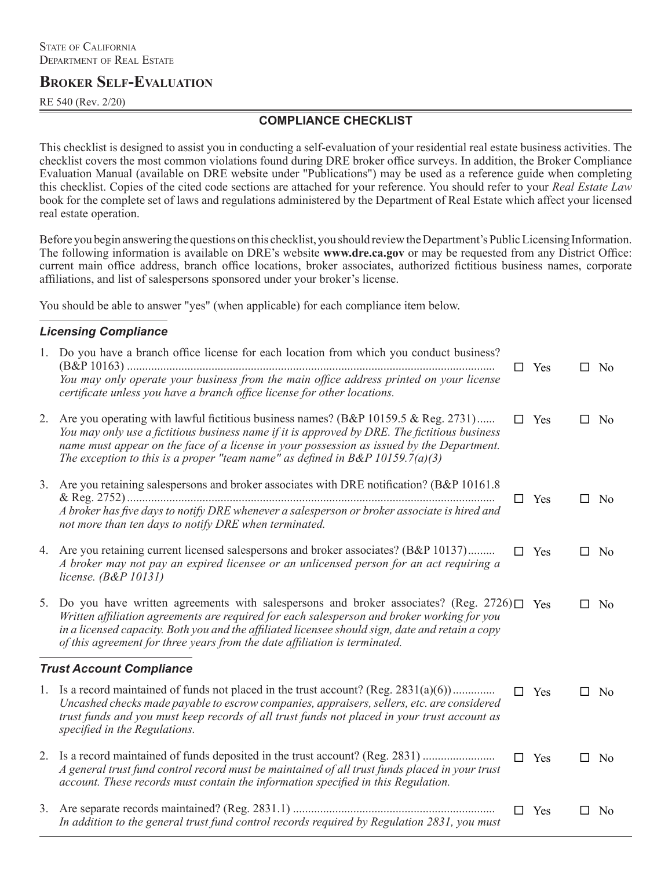# **BROKER SELF-EVALUATION**

RE 540 (Rev. 2/20)

## **COMPLIANCE CHECKLIST**

This checklist is designed to assist you in conducting a self-evaluation of your residential real estate business activities. The checklist covers the most common violations found during DRE broker office surveys. In addition, the Broker Compliance Evaluation Manual (available on DRE website under "Publications") may be used as a reference guide when completing this checklist. Copies of the cited code sections are attached for your reference. You should refer to your *Real Estate Law* book for the complete set of laws and regulations administered by the Department of Real Estate which affect your licensed real estate operation.

Before you begin answering the questions on this checklist, you should review the Department's Public Licensing Information. The following information is available on DRE's website **www.dre.ca.gov** or may be requested from any District Office: current main office address, branch office locations, broker associates, authorized fictitious business names, corporate affiliations, and list of salespersons sponsored under your broker's license.

You should be able to answer "yes" (when applicable) for each compliance item below.

## *Licensing Compliance*

|  | 1. Do you have a branch office license for each location from which you conduct business?                                                                                                                                                                                                                                                                                      |        | $\Box$ Yes |        | $\square$ No   |
|--|--------------------------------------------------------------------------------------------------------------------------------------------------------------------------------------------------------------------------------------------------------------------------------------------------------------------------------------------------------------------------------|--------|------------|--------|----------------|
|  | You may only operate your business from the main office address printed on your license<br>certificate unless you have a branch office license for other locations.                                                                                                                                                                                                            |        |            |        |                |
|  | 2. Are you operating with lawful fictitious business names? (B&P 10159.5 & Reg. 2731)<br>You may only use a fictitious business name if it is approved by DRE. The fictitious business<br>name must appear on the face of a license in your possession as issued by the Department.<br>The exception to this is a proper "team name" as defined in B&P $10159.7(a)(3)$         | $\Box$ | Yes        |        | $\square$ No   |
|  | 3. Are you retaining salespersons and broker associates with DRE notification? (B&P 10161.8)                                                                                                                                                                                                                                                                                   |        | $\Box$ Yes | □      | N <sub>0</sub> |
|  | A broker has five days to notify DRE whenever a salesperson or broker associate is hired and<br>not more than ten days to notify DRE when terminated.                                                                                                                                                                                                                          |        |            |        |                |
|  | 4. Are you retaining current licensed salespersons and broker associates? (B&P 10137)<br>A broker may not pay an expired licensee or an unlicensed person for an act requiring a<br>license. $(B\&P 10131)$                                                                                                                                                                    | $\Box$ | Yes        | П.     | N <sub>0</sub> |
|  | 5. Do you have written agreements with salespersons and broker associates? (Reg. 2726) $\Box$<br>Written affiliation agreements are required for each salesperson and broker working for you<br>in a licensed capacity. Both you and the affiliated licensee should sign, date and retain a copy<br>of this agreement for three years from the date affiliation is terminated. |        | Yes        | $\Box$ | N <sub>0</sub> |
|  | <b>Trust Account Compliance</b>                                                                                                                                                                                                                                                                                                                                                |        |            |        |                |
|  | 1. Is a record maintained of funds not placed in the trust account? $(Reg. 2831(a)(6))$<br>Uncashed checks made payable to escrow companies, appraisers, sellers, etc. are considered<br>trust funds and you must keep records of all trust funds not placed in your trust account as<br>specified in the Regulations.                                                         | □      | Yes        | □      | N <sub>0</sub> |
|  | 2. Is a record maintained of funds deposited in the trust account? (Reg. 2831)<br>A general trust fund control record must be maintained of all trust funds placed in your trust<br>account. These records must contain the information specified in this Regulation.                                                                                                          | $\Box$ | Yes        | П.     | N <sub>0</sub> |
|  | In addition to the general trust fund control records required by Regulation 2831, you must                                                                                                                                                                                                                                                                                    |        | $\Box$ Yes | $\Box$ | N <sub>0</sub> |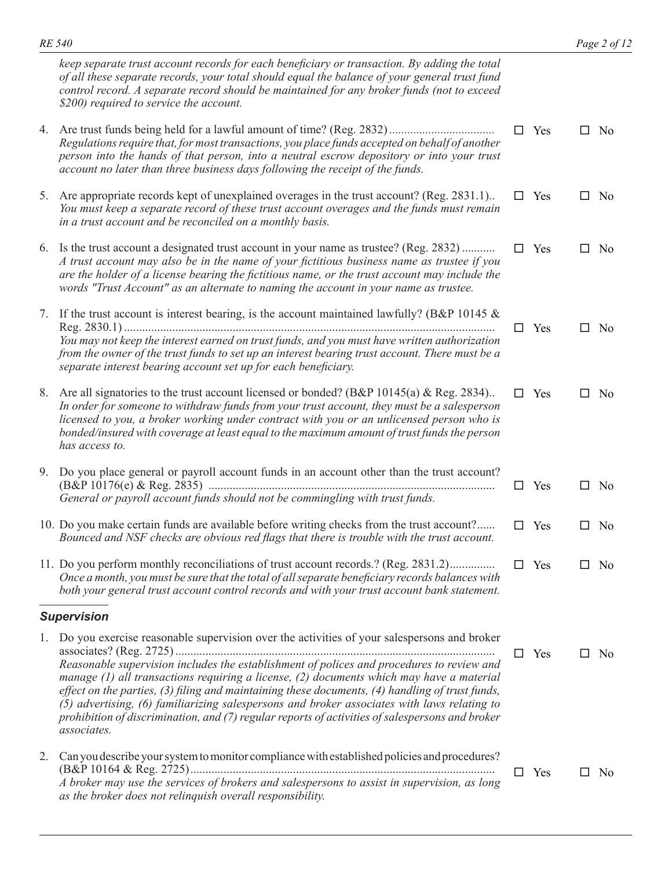|    | keep separate trust account records for each beneficiary or transaction. By adding the total<br>of all these separate records, your total should equal the balance of your general trust fund<br>control record. A separate record should be maintained for any broker funds (not to exceed<br>\$200) required to service the account.                                                                                                                                                                                                                                                                          |        |            |        |                |  |  |  |  |
|----|-----------------------------------------------------------------------------------------------------------------------------------------------------------------------------------------------------------------------------------------------------------------------------------------------------------------------------------------------------------------------------------------------------------------------------------------------------------------------------------------------------------------------------------------------------------------------------------------------------------------|--------|------------|--------|----------------|--|--|--|--|
|    | Regulations require that, for most transactions, you place funds accepted on behalf of another<br>person into the hands of that person, into a neutral escrow depository or into your trust<br>account no later than three business days following the receipt of the funds.                                                                                                                                                                                                                                                                                                                                    |        | $\Box$ Yes |        | $\square$ No   |  |  |  |  |
|    | 5. Are appropriate records kept of unexplained overages in the trust account? (Reg. 2831.1)<br>You must keep a separate record of these trust account overages and the funds must remain<br>in a trust account and be reconciled on a monthly basis.                                                                                                                                                                                                                                                                                                                                                            |        | $\Box$ Yes |        | $\square$ No   |  |  |  |  |
|    | 6. Is the trust account a designated trust account in your name as trustee? (Reg. 2832)<br>A trust account may also be in the name of your fictitious business name as trustee if you<br>are the holder of a license bearing the fictitious name, or the trust account may include the<br>words "Trust Account" as an alternate to naming the account in your name as trustee.                                                                                                                                                                                                                                  | $\Box$ | Yes        |        | $\square$ No   |  |  |  |  |
| 7. | If the trust account is interest bearing, is the account maintained lawfully? (B&P 10145 &<br>You may not keep the interest earned on trust funds, and you must have written authorization<br>from the owner of the trust funds to set up an interest bearing trust account. There must be a<br>separate interest bearing account set up for each beneficiary.                                                                                                                                                                                                                                                  | $\Box$ | Yes        |        | $\square$ No   |  |  |  |  |
| 8. | Are all signatories to the trust account licensed or bonded? (B&P $10145(a)$ & Reg. 2834)<br>In order for someone to withdraw funds from your trust account, they must be a salesperson<br>licensed to you, a broker working under contract with you or an unlicensed person who is<br>bonded/insured with coverage at least equal to the maximum amount of trust funds the person<br>has access to.                                                                                                                                                                                                            | $\Box$ | Yes        |        | $\square$ No   |  |  |  |  |
| 9. | Do you place general or payroll account funds in an account other than the trust account?<br>General or payroll account funds should not be commingling with trust funds.                                                                                                                                                                                                                                                                                                                                                                                                                                       |        | $\Box$ Yes |        | $\square$ No   |  |  |  |  |
|    | 10. Do you make certain funds are available before writing checks from the trust account?<br>Bounced and NSF checks are obvious red flags that there is trouble with the trust account.                                                                                                                                                                                                                                                                                                                                                                                                                         |        | $\Box$ Yes |        | $\square$ No   |  |  |  |  |
|    | 11. Do you perform monthly reconciliations of trust account records.? (Reg. 2831.2)<br>Once a month, you must be sure that the total of all separate beneficiary records balances with<br>both your general trust account control records and with your trust account bank statement.                                                                                                                                                                                                                                                                                                                           |        | $\Box$ Yes | $\Box$ | N <sub>o</sub> |  |  |  |  |
|    | <b>Supervision</b>                                                                                                                                                                                                                                                                                                                                                                                                                                                                                                                                                                                              |        |            |        |                |  |  |  |  |
| 1. | Do you exercise reasonable supervision over the activities of your salespersons and broker<br>Reasonable supervision includes the establishment of polices and procedures to review and<br>manage $(1)$ all transactions requiring a license, $(2)$ documents which may have a material<br>effect on the parties, $(3)$ filing and maintaining these documents, $(4)$ handling of trust funds,<br>(5) advertising, (6) familiarizing salespersons and broker associates with laws relating to<br>prohibition of discrimination, and (7) regular reports of activities of salespersons and broker<br>associates. | $\Box$ | Yes        | ப      | No             |  |  |  |  |
| 2. | Can you describe your system to monitor compliance with established policies and procedures?<br>A broker may use the services of brokers and salespersons to assist in supervision, as long<br>as the broker does not relinquish overall responsibility.                                                                                                                                                                                                                                                                                                                                                        | ш      | Yes        | ப      | No             |  |  |  |  |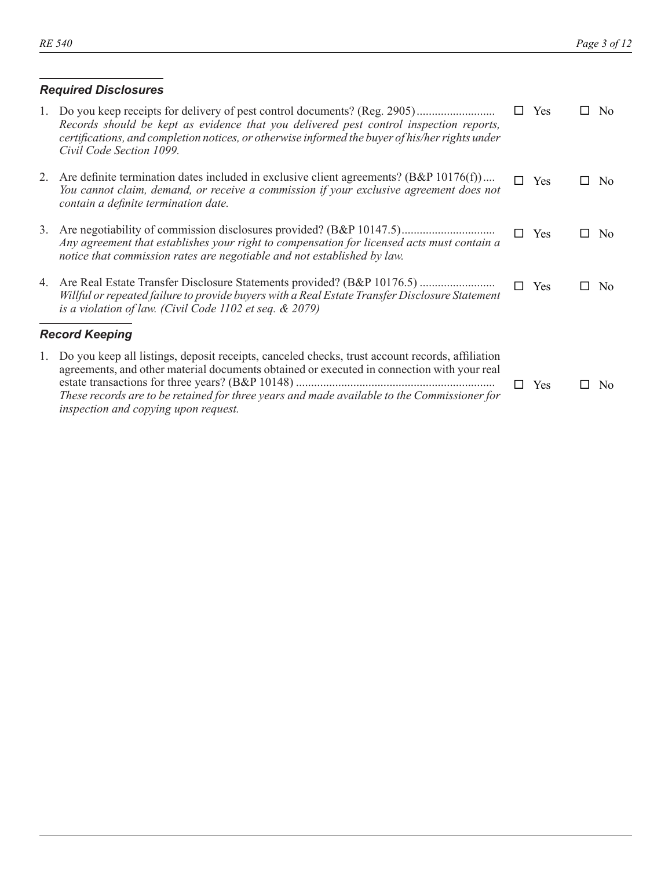## *Required Disclosures*

| 1.                    | Do you keep receipts for delivery of pest control documents? (Reg. 2905)<br>Records should be kept as evidence that you delivered pest control inspection reports,<br>certifications, and completion notices, or otherwise informed the buyer of his/her rights under<br>Civil Code Section 1099.                                    |        | Yes | $\Box$ | N <sub>0</sub> |  |
|-----------------------|--------------------------------------------------------------------------------------------------------------------------------------------------------------------------------------------------------------------------------------------------------------------------------------------------------------------------------------|--------|-----|--------|----------------|--|
|                       | 2. Are definite termination dates included in exclusive client agreements? $(B&P 10176(f))$<br>You cannot claim, demand, or receive a commission if your exclusive agreement does not<br>contain a definite termination date.                                                                                                        | П      | Yes |        | N <sub>0</sub> |  |
|                       | Any agreement that establishes your right to compensation for licensed acts must contain a<br>notice that commission rates are negotiable and not established by law.                                                                                                                                                                | П      | Yes |        | N <sub>0</sub> |  |
|                       | Willful or repeated failure to provide buyers with a Real Estate Transfer Disclosure Statement<br>is a violation of law. (Civil Code $1102$ et seq. & 2079)                                                                                                                                                                          | П.     | Yes |        | N <sub>0</sub> |  |
| <b>Record Keeping</b> |                                                                                                                                                                                                                                                                                                                                      |        |     |        |                |  |
| 1.                    | Do you keep all listings, deposit receipts, canceled checks, trust account records, affiliation<br>agreements, and other material documents obtained or executed in connection with your real<br>These records are to be retained for three years and made available to the Commissioner for<br>inspection and copying upon request. | $\Box$ | Yes |        | N <sub>0</sub> |  |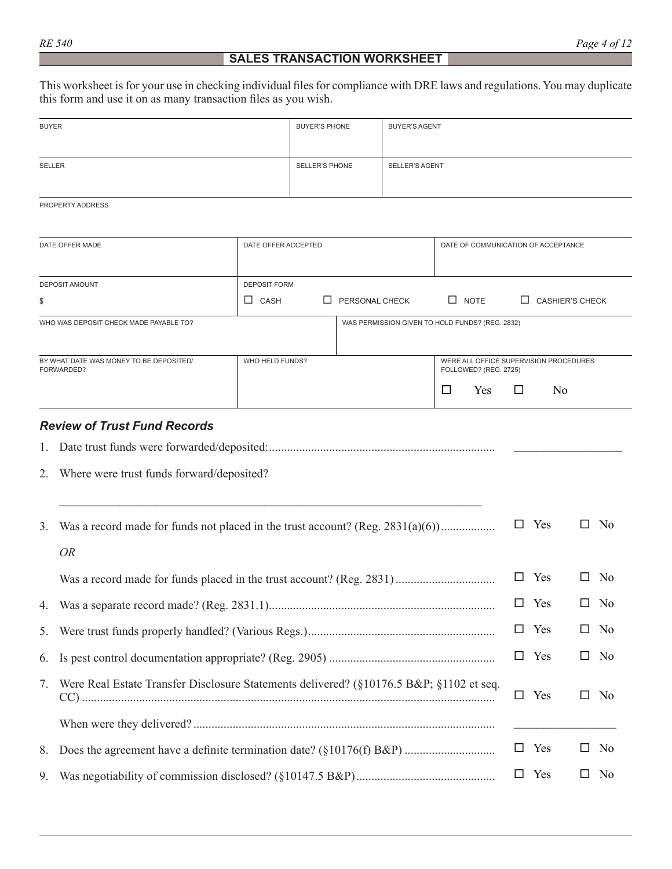# **SALES TRANSACTION WORKSHEET**

This worksheet is for your use in checking individual files for compliance with DRE laws and regulations. You may duplicate this form and use it on as many transaction files as you wish.

| <b>BUYER</b>                                          |                                                                                                                              |                     | <b>BUYER'S PHONE</b>                     |  | <b>BUYER'S AGENT</b>                            |                                     |                                        |        |                |                |                |
|-------------------------------------------------------|------------------------------------------------------------------------------------------------------------------------------|---------------------|------------------------------------------|--|-------------------------------------------------|-------------------------------------|----------------------------------------|--------|----------------|----------------|----------------|
| <b>SELLER</b>                                         |                                                                                                                              |                     | <b>SELLER'S PHONE</b>                    |  | <b>SELLER'S AGENT</b>                           |                                     |                                        |        |                |                |                |
|                                                       | PROPERTY ADDRESS                                                                                                             |                     |                                          |  |                                                 |                                     |                                        |        |                |                |                |
| DATE OFFER MADE                                       |                                                                                                                              | DATE OFFER ACCEPTED |                                          |  |                                                 | DATE OF COMMUNICATION OF ACCEPTANCE |                                        |        |                |                |                |
|                                                       | <b>DEPOSIT AMOUNT</b>                                                                                                        | <b>DEPOSIT FORM</b> |                                          |  |                                                 |                                     |                                        |        |                |                |                |
| \$                                                    |                                                                                                                              | $\Box$ CASH         | $\Box$ PERSONAL CHECK<br>$\Box$ NOTE     |  |                                                 |                                     | $\Box$ CASHIER'S CHECK                 |        |                |                |                |
| WHO WAS DEPOSIT CHECK MADE PAYABLE TO?                |                                                                                                                              |                     |                                          |  | WAS PERMISSION GIVEN TO HOLD FUNDS? (REG. 2832) |                                     |                                        |        |                |                |                |
| BY WHAT DATE WAS MONEY TO BE DEPOSITED/<br>FORWARDED? |                                                                                                                              |                     | WHO HELD FUNDS?<br>FOLLOWED? (REG. 2725) |  |                                                 |                                     | WERE ALL OFFICE SUPERVISION PROCEDURES |        |                |                |                |
|                                                       |                                                                                                                              |                     |                                          |  |                                                 | □                                   | <b>Yes</b>                             | $\Box$ | N <sub>0</sub> |                |                |
| 3.                                                    | <b>Review of Trust Fund Records</b><br>2. Where were trust funds forward/deposited?<br>Yes<br>N <sub>0</sub><br>$\Box$<br>ΙI |                     |                                          |  |                                                 |                                     |                                        |        |                |                |                |
|                                                       | <b>OR</b>                                                                                                                    |                     |                                          |  |                                                 |                                     |                                        |        |                |                |                |
|                                                       |                                                                                                                              |                     |                                          |  |                                                 |                                     |                                        | $\Box$ | Yes            | ப              | N <sub>0</sub> |
|                                                       |                                                                                                                              |                     |                                          |  |                                                 |                                     |                                        | ப      | Yes            | $\Box$         | No             |
| 5.                                                    |                                                                                                                              |                     |                                          |  |                                                 |                                     | □                                      | Yes    | □              | N <sub>0</sub> |                |
| 6.                                                    |                                                                                                                              |                     |                                          |  |                                                 |                                     | $\Box$                                 | Yes    | $\Box$         | N <sub>0</sub> |                |
| 7.                                                    | Were Real Estate Transfer Disclosure Statements delivered? (§10176.5 B&P §1102 et seq.                                       |                     |                                          |  |                                                 |                                     |                                        | $\Box$ | Yes            | $\Box$         | N <sub>0</sub> |
|                                                       |                                                                                                                              |                     |                                          |  |                                                 |                                     |                                        |        |                |                |                |
| 8.                                                    | Does the agreement have a definite termination date? (§10176(f) B&P)                                                         |                     |                                          |  |                                                 |                                     |                                        | □      | Yes            | □              | N <sub>0</sub> |
| 9.                                                    |                                                                                                                              |                     |                                          |  |                                                 |                                     |                                        | □      | Yes            | $\Box$         | N <sub>0</sub> |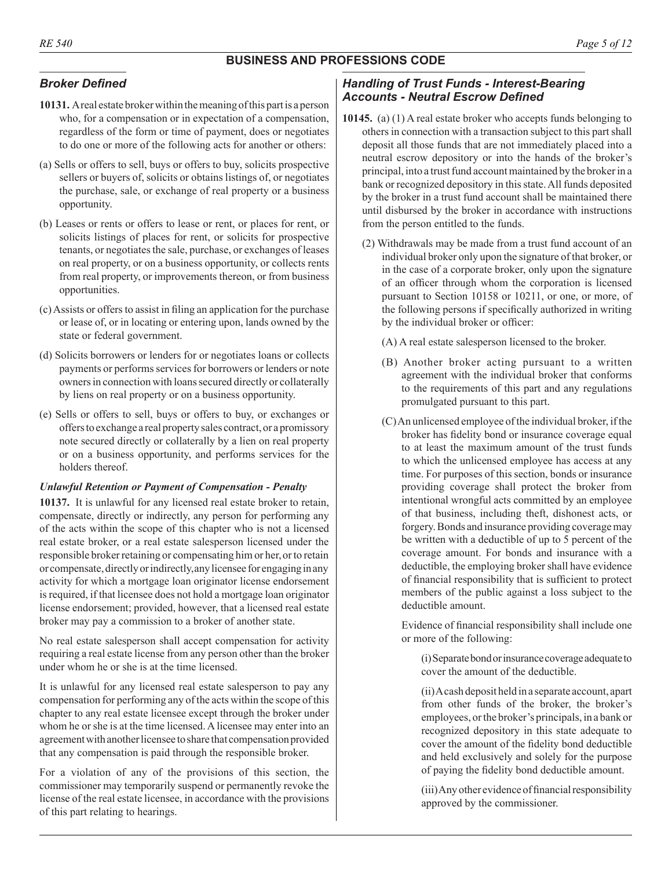## *Broker Defined*

- **10131.** A real estate broker within the meaning of this part is a person who, for a compensation or in expectation of a compensation, regardless of the form or time of payment, does or negotiates to do one or more of the following acts for another or others:
- (a) Sells or offers to sell, buys or offers to buy, solicits prospective sellers or buyers of, solicits or obtains listings of, or negotiates the purchase, sale, or exchange of real property or a business opportunity.
- (b) Leases or rents or offers to lease or rent, or places for rent, or solicits listings of places for rent, or solicits for prospective tenants, or negotiates the sale, purchase, or exchanges of leases on real property, or on a business opportunity, or collects rents from real property, or improvements thereon, or from business opportunities.
- (c) Assists or offers to assist in filing an application for the purchase or lease of, or in locating or entering upon, lands owned by the state or federal government.
- (d) Solicits borrowers or lenders for or negotiates loans or collects payments or performs services for borrowers or lenders or note owners in connection with loans secured directly or collaterally by liens on real property or on a business opportunity.
- (e) Sells or offers to sell, buys or offers to buy, or exchanges or offers to exchange a real property sales contract, or a promissory note secured directly or collaterally by a lien on real property or on a business opportunity, and performs services for the holders thereof.

#### *Unlawful Retention or Payment of Compensation - Penalty*

**10137.** It is unlawful for any licensed real estate broker to retain, compensate, directly or indirectly, any person for performing any of the acts within the scope of this chapter who is not a licensed real estate broker, or a real estate salesperson licensed under the responsible broker retaining or compensating him or her, or to retain or compensate,directlyorindirectly,anylicensee for engaginginany activity for which a mortgage loan originator license endorsement is required, if that licensee does not hold a mortgage loan originator license endorsement; provided, however, that a licensed real estate broker may pay a commission to a broker of another state.

No real estate salesperson shall accept compensation for activity requiring a real estate license from any person other than the broker under whom he or she is at the time licensed.

It is unlawful for any licensed real estate salesperson to pay any compensation for performing any of the acts within the scope of this chapter to any real estate licensee except through the broker under whom he or she is at the time licensed. A licensee may enter into an agreement with another licensee to share that compensation provided that any compensation is paid through the responsible broker.

For a violation of any of the provisions of this section, the commissioner may temporarily suspend or permanently revoke the license of the real estate licensee, in accordance with the provisions of this part relating to hearings.

## *Handling of Trust Funds - Interest-Bearing Accounts - Neutral Escrow Defined*

- **10145.** (a) (1) A real estate broker who accepts funds belonging to others in connection with a transaction subject to this part shall deposit all those funds that are not immediately placed into a neutral escrow depository or into the hands of the broker's principal, into a trust fund account maintained by the broker in a bank or recognized depository in this state. All funds deposited by the broker in a trust fund account shall be maintained there until disbursed by the broker in accordance with instructions from the person entitled to the funds.
	- (2) Withdrawals may be made from a trust fund account of an individual broker only upon the signature of that broker, or in the case of a corporate broker, only upon the signature of an officer through whom the corporation is licensed pursuant to Section 10158 or 10211, or one, or more, of the following persons if specifically authorized in writing by the individual broker or officer:
		- (A) A real estate salesperson licensed to the broker.
		- (B) Another broker acting pursuant to a written agreement with the individual broker that conforms to the requirements of this part and any regulations promulgated pursuant to this part.
		- (C) An unlicensed employee of the individual broker, if the broker has fidelity bond or insurance coverage equal to at least the maximum amount of the trust funds to which the unlicensed employee has access at any time. For purposes of this section, bonds or insurance providing coverage shall protect the broker from intentional wrongful acts committed by an employee of that business, including theft, dishonest acts, or forgery. Bonds and insurance providing coverage may be written with a deductible of up to 5 percent of the coverage amount. For bonds and insurance with a deductible, the employing broker shall have evidence of financial responsibility that is sufficient to protect members of the public against a loss subject to the deductible amount.

Evidence of financial responsibility shall include one or more of the following:

(i) Separate bond or insurance coverage adequate to cover the amount of the deductible.

(ii) A cash deposit held in a separate account, apart from other funds of the broker, the broker's employees, or the broker's principals, in a bank or recognized depository in this state adequate to cover the amount of the fidelity bond deductible and held exclusively and solely for the purpose of paying the fidelity bond deductible amount.

(iii) Any other evidence of financial responsibility approved by the commissioner.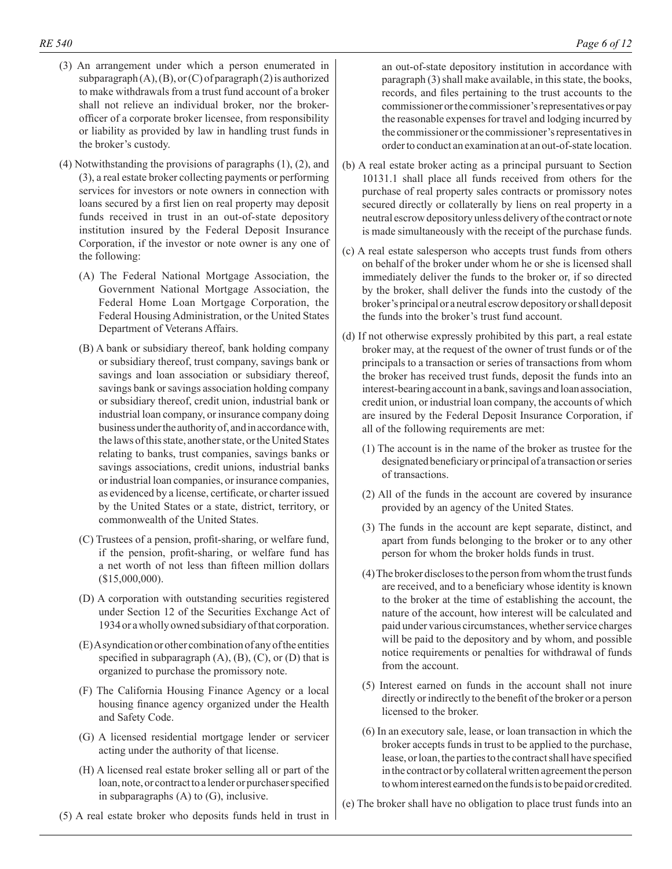- (3) An arrangement under which a person enumerated in  $subparagnh(A), (B), or (C) of paragraph(2) is authorized$ to make withdrawals from a trust fund account of a broker shall not relieve an individual broker, nor the brokerofficer of a corporate broker licensee, from responsibility or liability as provided by law in handling trust funds in the broker's custody.
- (4) Notwithstanding the provisions of paragraphs (1), (2), and (3), a real estate broker collecting payments or performing services for investors or note owners in connection with loans secured by a first lien on real property may deposit funds received in trust in an out-of-state depository institution insured by the Federal Deposit Insurance Corporation, if the investor or note owner is any one of the following:
	- (A) The Federal National Mortgage Association, the Government National Mortgage Association, the Federal Home Loan Mortgage Corporation, the Federal Housing Administration, or the United States Department of Veterans Affairs.
	- (B) A bank or subsidiary thereof, bank holding company or subsidiary thereof, trust company, savings bank or savings and loan association or subsidiary thereof, savings bank or savings association holding company or subsidiary thereof, credit union, industrial bank or industrial loan company, or insurance company doing business under the authority of, and in accordance with, the laws of this state, another state, or the United States relating to banks, trust companies, savings banks or savings associations, credit unions, industrial banks or industrial loan companies, or insurance companies, as evidenced by a license, certificate, or charter issued by the United States or a state, district, territory, or commonwealth of the United States.
	- (C) Trustees of a pension, profit-sharing, or welfare fund, if the pension, profit-sharing, or welfare fund has a net worth of not less than fifteen million dollars (\$15,000,000).
	- (D) A corporation with outstanding securities registered under Section 12 of the Securities Exchange Act of 1934 or a wholly owned subsidiary of that corporation.
	- (E) A syndication or other combination of any of the entities specified in subparagraph  $(A)$ ,  $(B)$ ,  $(C)$ , or  $(D)$  that is organized to purchase the promissory note.
	- (F) The California Housing Finance Agency or a local housing finance agency organized under the Health and Safety Code.
	- (G) A licensed residential mortgage lender or servicer acting under the authority of that license.
	- (H) A licensed real estate broker selling all or part of the loan, note, or contract to a lender or purchaser specified in subparagraphs (A) to (G), inclusive.
- (5) A real estate broker who deposits funds held in trust in

an out-of-state depository institution in accordance with paragraph (3) shall make available, in this state, the books, records, and files pertaining to the trust accounts to the commissioner or the commissioner's representatives or pay the reasonable expenses for travel and lodging incurred by the commissioner or the commissioner's representatives in order to conduct an examination at an out-of-state location.

- (b) A real estate broker acting as a principal pursuant to Section 10131.1 shall place all funds received from others for the purchase of real property sales contracts or promissory notes secured directly or collaterally by liens on real property in a neutral escrow depository unless delivery of the contract or note is made simultaneously with the receipt of the purchase funds.
- (c) A real estate salesperson who accepts trust funds from others on behalf of the broker under whom he or she is licensed shall immediately deliver the funds to the broker or, if so directed by the broker, shall deliver the funds into the custody of the broker's principal or a neutral escrow depository or shall deposit the funds into the broker's trust fund account.
- (d) If not otherwise expressly prohibited by this part, a real estate broker may, at the request of the owner of trust funds or of the principals to a transaction or series of transactions from whom the broker has received trust funds, deposit the funds into an interest-bearing account in a bank, savings and loan association, credit union, or industrial loan company, the accounts of which are insured by the Federal Deposit Insurance Corporation, if all of the following requirements are met:
	- (1) The account is in the name of the broker as trustee for the designated beneficiary or principal of a transaction or series of transactions.
	- (2) All of the funds in the account are covered by insurance provided by an agency of the United States.
	- (3) The funds in the account are kept separate, distinct, and apart from funds belonging to the broker or to any other person for whom the broker holds funds in trust.
	- (4) The broker discloses to the person from whom the trust funds are received, and to a beneficiary whose identity is known to the broker at the time of establishing the account, the nature of the account, how interest will be calculated and paid under various circumstances, whether service charges will be paid to the depository and by whom, and possible notice requirements or penalties for withdrawal of funds from the account.
	- (5) Interest earned on funds in the account shall not inure directly or indirectly to the benefit of the broker or a person licensed to the broker.
	- (6) In an executory sale, lease, or loan transaction in which the broker accepts funds in trust to be applied to the purchase, lease, or loan, the parties to the contract shall have specified in the contract or by collateral written agreement the person to whom interest earned on the funds is to be paid or credited.
- (e) The broker shall have no obligation to place trust funds into an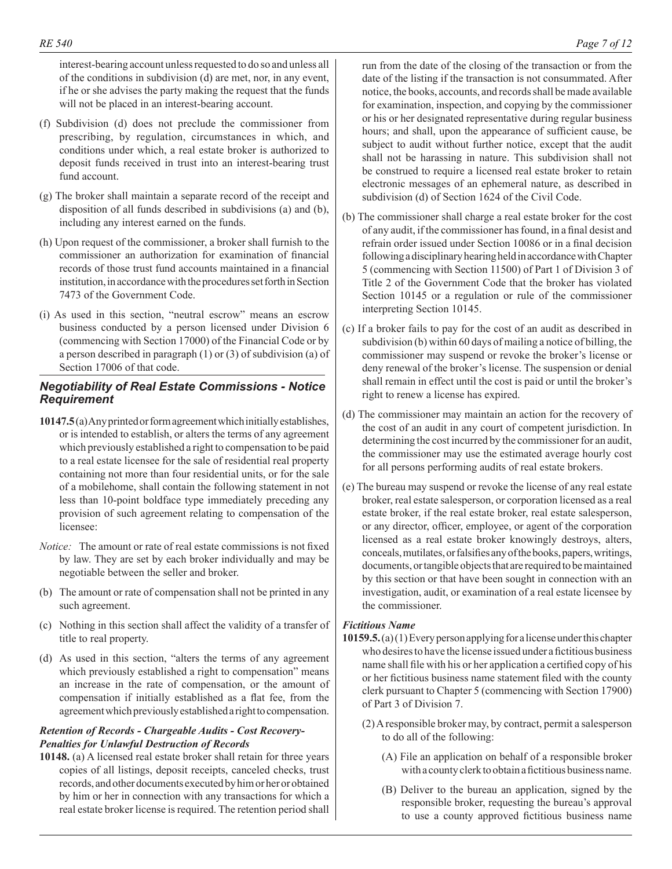interest-bearing account unless requested to do so and unless all of the conditions in subdivision (d) are met, nor, in any event, if he or she advises the party making the request that the funds will not be placed in an interest-bearing account.

- (f) Subdivision (d) does not preclude the commissioner from prescribing, by regulation, circumstances in which, and conditions under which, a real estate broker is authorized to deposit funds received in trust into an interest-bearing trust fund account.
- (g) The broker shall maintain a separate record of the receipt and disposition of all funds described in subdivisions (a) and (b), including any interest earned on the funds.
- (h) Upon request of the commissioner, a broker shall furnish to the commissioner an authorization for examination of financial records of those trust fund accounts maintained in a financial institution, in accordance with the procedures set forth in Section 7473 of the Government Code.
- (i) As used in this section, "neutral escrow" means an escrow business conducted by a person licensed under Division 6 (commencing with Section 17000) of the Financial Code or by a person described in paragraph (1) or (3) of subdivision (a) of Section 17006 of that code.

## *Negotiability of Real Estate Commissions - Notice Requirement*

- **10147.5** (a) Any printed or form agreement which initially establishes, or is intended to establish, or alters the terms of any agreement which previously established a right to compensation to be paid to a real estate licensee for the sale of residential real property containing not more than four residential units, or for the sale of a mobilehome, shall contain the following statement in not less than 10-point boldface type immediately preceding any provision of such agreement relating to compensation of the licensee:
- *Notice:* The amount or rate of real estate commissions is not fixed by law. They are set by each broker individually and may be negotiable between the seller and broker.
- (b) The amount or rate of compensation shall not be printed in any such agreement.
- (c) Nothing in this section shall affect the validity of a transfer of title to real property.
- (d) As used in this section, "alters the terms of any agreement which previously established a right to compensation" means an increase in the rate of compensation, or the amount of compensation if initially established as a flat fee, from the agreement which previously established a right to compensation.

#### *Retention of Records - Chargeable Audits - Cost Recovery-Penalties for Unlawful Destruction of Records*

**10148.** (a) A licensed real estate broker shall retain for three years copies of all listings, deposit receipts, canceled checks, trust records, and other documents executed by him or her or obtained by him or her in connection with any transactions for which a real estate broker license is required. The retention period shall

run from the date of the closing of the transaction or from the date of the listing if the transaction is not consummated. After notice, the books, accounts, and records shall be made available for examination, inspection, and copying by the commissioner or his or her designated representative during regular business hours; and shall, upon the appearance of sufficient cause, be subject to audit without further notice, except that the audit shall not be harassing in nature. This subdivision shall not be construed to require a licensed real estate broker to retain electronic messages of an ephemeral nature, as described in subdivision (d) of Section 1624 of the Civil Code.

- (b) The commissioner shall charge a real estate broker for the cost of any audit, if the commissioner has found, in a final desist and refrain order issued under Section 10086 or in a final decision following a disciplinary hearing held in accordance with Chapter 5 (commencing with Section 11500) of Part 1 of Division 3 of Title 2 of the Government Code that the broker has violated Section 10145 or a regulation or rule of the commissioner interpreting Section 10145.
- (c) If a broker fails to pay for the cost of an audit as described in subdivision (b) within 60 days of mailing a notice of billing, the commissioner may suspend or revoke the broker's license or deny renewal of the broker's license. The suspension or denial shall remain in effect until the cost is paid or until the broker's right to renew a license has expired.
- (d) The commissioner may maintain an action for the recovery of the cost of an audit in any court of competent jurisdiction. In determining the cost incurred by the commissioner for an audit, the commissioner may use the estimated average hourly cost for all persons performing audits of real estate brokers.
- (e) The bureau may suspend or revoke the license of any real estate broker, real estate salesperson, or corporation licensed as a real estate broker, if the real estate broker, real estate salesperson, or any director, officer, employee, or agent of the corporation licensed as a real estate broker knowingly destroys, alters, conceals, mutilates, or falsifies any of the books, papers, writings, documents, or tangible objects that are required to be maintained by this section or that have been sought in connection with an investigation, audit, or examination of a real estate licensee by the commissioner.

#### *Fictitious Name*

- **10159.5.** (a) (1) Every person applying for a license under this chapter who desires to have the license issued under a fictitious business name shall file with his or her application a certified copy of his or her fictitious business name statement filed with the county clerk pursuant to Chapter 5 (commencing with Section 17900) of Part 3 of Division 7.
	- (2) A responsible broker may, by contract, permit a salesperson to do all of the following:
		- (A) File an application on behalf of a responsible broker with a county clerk to obtain a fictitious business name.
		- (B) Deliver to the bureau an application, signed by the responsible broker, requesting the bureau's approval to use a county approved fictitious business name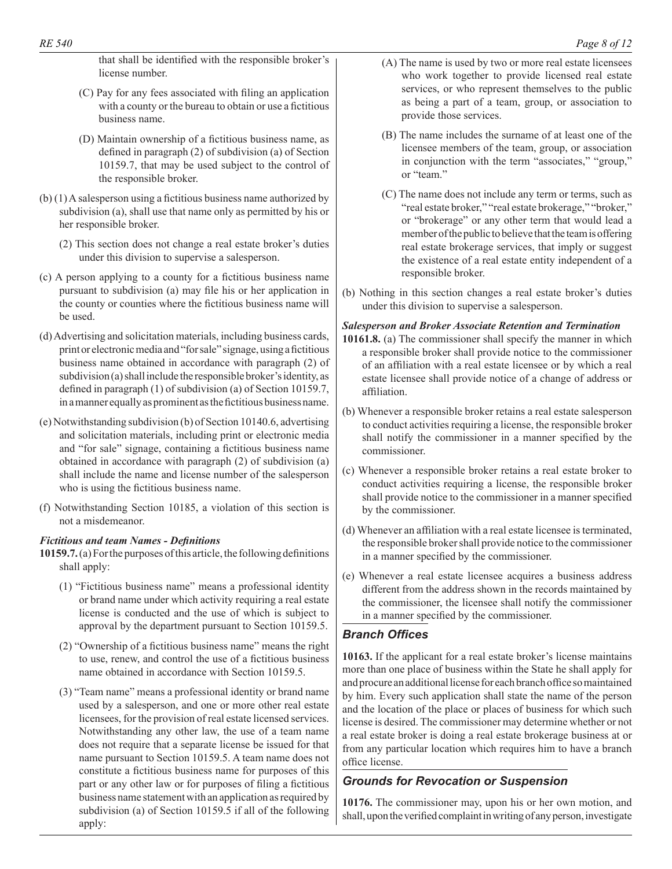that shall be identified with the responsible broker's license number.

- (C) Pay for any fees associated with filing an application with a county or the bureau to obtain or use a fictitious business name.
- (D) Maintain ownership of a fictitious business name, as defined in paragraph (2) of subdivision (a) of Section 10159.7, that may be used subject to the control of the responsible broker.
- (b) (1) A salesperson using a fictitious business name authorized by subdivision (a), shall use that name only as permitted by his or her responsible broker.
	- (2) This section does not change a real estate broker's duties under this division to supervise a salesperson.
- (c) A person applying to a county for a fictitious business name pursuant to subdivision (a) may file his or her application in the county or counties where the fictitious business name will be used.
- (d) Advertising and solicitation materials, including business cards, print or electronic media and "for sale" signage, using a fictitious business name obtained in accordance with paragraph (2) of subdivision (a) shall include the responsible broker's identity, as defined in paragraph (1) of subdivision (a) of Section 10159.7, in a manner equally as prominent as the fictitious business name.
- (e) Notwithstanding subdivision (b) of Section 10140.6, advertising and solicitation materials, including print or electronic media and "for sale" signage, containing a fictitious business name obtained in accordance with paragraph (2) of subdivision (a) shall include the name and license number of the salesperson who is using the fictitious business name.
- (f) Notwithstanding Section 10185, a violation of this section is not a misdemeanor.

#### *Fictitious and team Names - Definitions*

- **10159.7.** (a) For the purposes of this article, the following definitions shall apply:
	- (1) "Fictitious business name" means a professional identity or brand name under which activity requiring a real estate license is conducted and the use of which is subject to approval by the department pursuant to Section 10159.5.
	- (2) "Ownership of a fictitious business name" means the right to use, renew, and control the use of a fictitious business name obtained in accordance with Section 10159.5.
	- (3) "Team name" means a professional identity or brand name used by a salesperson, and one or more other real estate licensees, for the provision of real estate licensed services. Notwithstanding any other law, the use of a team name does not require that a separate license be issued for that name pursuant to Section 10159.5. A team name does not constitute a fictitious business name for purposes of this part or any other law or for purposes of filing a fictitious business name statement with an application as required by subdivision (a) of Section 10159.5 if all of the following apply:
- (A) The name is used by two or more real estate licensees who work together to provide licensed real estate services, or who represent themselves to the public as being a part of a team, group, or association to provide those services.
- (B) The name includes the surname of at least one of the licensee members of the team, group, or association in conjunction with the term "associates," "group," or "team."
- (C) The name does not include any term or terms, such as "real estate broker," "real estate brokerage," "broker," or "brokerage" or any other term that would lead a member of the public to believe that the team is offering real estate brokerage services, that imply or suggest the existence of a real estate entity independent of a responsible broker.
- (b) Nothing in this section changes a real estate broker's duties under this division to supervise a salesperson.

#### *Salesperson and Broker Associate Retention and Termination*

- **10161.8.** (a) The commissioner shall specify the manner in which a responsible broker shall provide notice to the commissioner of an affiliation with a real estate licensee or by which a real estate licensee shall provide notice of a change of address or affiliation.
- (b) Whenever a responsible broker retains a real estate salesperson to conduct activities requiring a license, the responsible broker shall notify the commissioner in a manner specified by the commissioner.
- (c) Whenever a responsible broker retains a real estate broker to conduct activities requiring a license, the responsible broker shall provide notice to the commissioner in a manner specified by the commissioner.
- (d) Whenever an affiliation with a real estate licensee is terminated, the responsible broker shall provide notice to the commissioner in a manner specified by the commissioner.
- (e) Whenever a real estate licensee acquires a business address different from the address shown in the records maintained by the commissioner, the licensee shall notify the commissioner in a manner specified by the commissioner.

#### *Branch Offices*

**10163.** If the applicant for a real estate broker's license maintains more than one place of business within the State he shall apply for and procure an additional license for each branch office so maintained by him. Every such application shall state the name of the person and the location of the place or places of business for which such license is desired. The commissioner may determine whether or not a real estate broker is doing a real estate brokerage business at or from any particular location which requires him to have a branch office license.

# *Grounds for Revocation or Suspension*

**10176.** The commissioner may, upon his or her own motion, and shall, upon the verified complaint in writing of any person, investigate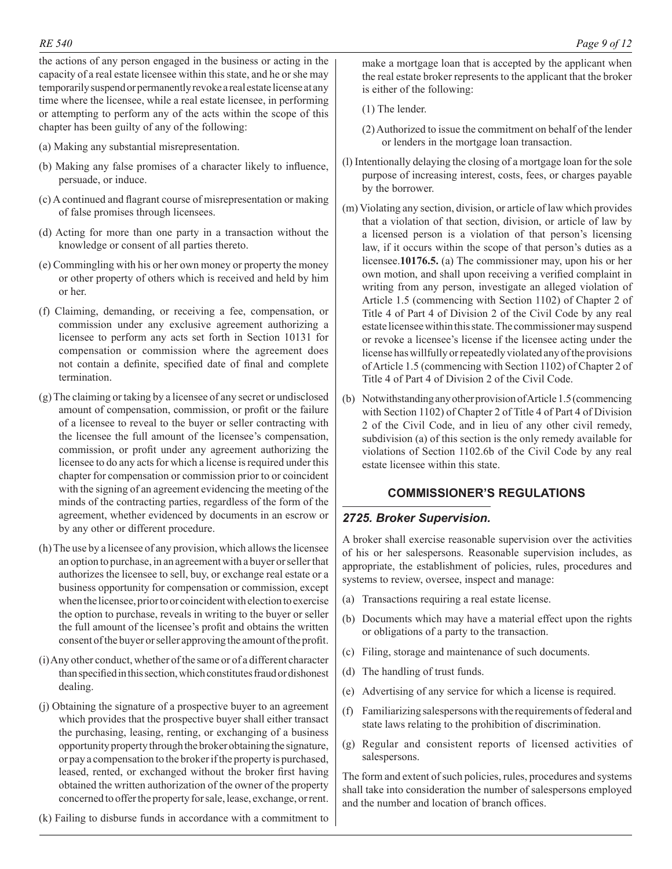the actions of any person engaged in the business or acting in the capacity of a real estate licensee within this state, and he or she may temporarily suspend or permanently revoke a real estate license at any time where the licensee, while a real estate licensee, in performing or attempting to perform any of the acts within the scope of this chapter has been guilty of any of the following:

- (a) Making any substantial misrepresentation.
- (b) Making any false promises of a character likely to influence, persuade, or induce.
- (c) A continued and flagrant course of misrepresentation or making of false promises through licensees.
- (d) Acting for more than one party in a transaction without the knowledge or consent of all parties thereto.
- (e) Commingling with his or her own money or property the money or other property of others which is received and held by him or her.
- (f) Claiming, demanding, or receiving a fee, compensation, or commission under any exclusive agreement authorizing a licensee to perform any acts set forth in Section 10131 for compensation or commission where the agreement does not contain a definite, specified date of final and complete termination.
- (g) The claiming or taking by a licensee of any secret or undisclosed amount of compensation, commission, or profit or the failure of a licensee to reveal to the buyer or seller contracting with the licensee the full amount of the licensee's compensation, commission, or profit under any agreement authorizing the licensee to do any acts for which a license is required under this chapter for compensation or commission prior to or coincident with the signing of an agreement evidencing the meeting of the minds of the contracting parties, regardless of the form of the agreement, whether evidenced by documents in an escrow or by any other or different procedure.
- (h) The use by a licensee of any provision, which allows the licensee an option to purchase, in an agreement with a buyer or seller that authorizes the licensee to sell, buy, or exchange real estate or a business opportunity for compensation or commission, except when the licensee, prior to or coincident with election to exercise the option to purchase, reveals in writing to the buyer or seller the full amount of the licensee's profit and obtains the written consent of the buyer or seller approving the amount of the profit.
- (i) Any other conduct, whether of the same or of a different character than specified in this section, which constitutes fraud or dishonest dealing.
- (j) Obtaining the signature of a prospective buyer to an agreement which provides that the prospective buyer shall either transact the purchasing, leasing, renting, or exchanging of a business opportunity property through the broker obtaining the signature, or pay a compensation to the broker if the property is purchased, leased, rented, or exchanged without the broker first having obtained the written authorization of the owner of the property concerned to offer the property for sale, lease, exchange, or rent.

(k) Failing to disburse funds in accordance with a commitment to

make a mortgage loan that is accepted by the applicant when the real estate broker represents to the applicant that the broker is either of the following:

- (1) The lender.
- (2) Authorized to issue the commitment on behalf of the lender or lenders in the mortgage loan transaction.
- (l) Intentionally delaying the closing of a mortgage loan for the sole purpose of increasing interest, costs, fees, or charges payable by the borrower.
- (m) Violating any section, division, or article of law which provides that a violation of that section, division, or article of law by a licensed person is a violation of that person's licensing law, if it occurs within the scope of that person's duties as a licensee.**10176.5.** (a) The commissioner may, upon his or her own motion, and shall upon receiving a verified complaint in writing from any person, investigate an alleged violation of Article 1.5 (commencing with Section 1102) of Chapter 2 of Title 4 of Part 4 of Division 2 of the Civil Code by any real estate licensee within this state. The commissioner may suspend or revoke a licensee's license if the licensee acting under the license has willfully or repeatedly violated any of the provisions of Article 1.5 (commencing with Section 1102) of Chapter 2 of Title 4 of Part 4 of Division 2 of the Civil Code.
- (b) Notwithstanding any other provision of Article 1.5 (commencing with Section 1102) of Chapter 2 of Title 4 of Part 4 of Division 2 of the Civil Code, and in lieu of any other civil remedy, subdivision (a) of this section is the only remedy available for violations of Section 1102.6b of the Civil Code by any real estate licensee within this state.

# **COMMISSIONER'S REGULATIONS**

# *2725. Broker Supervision.*

A broker shall exercise reasonable supervision over the activities of his or her salespersons. Reasonable supervision includes, as appropriate, the establishment of policies, rules, procedures and systems to review, oversee, inspect and manage:

- (a) Transactions requiring a real estate license.
- (b) Documents which may have a material effect upon the rights or obligations of a party to the transaction.
- (c) Filing, storage and maintenance of such documents.
- (d) The handling of trust funds.
- (e) Advertising of any service for which a license is required.
- (f) Familiarizing salespersons with the requirements of federal and state laws relating to the prohibition of discrimination.
- (g) Regular and consistent reports of licensed activities of salespersons.

The form and extent of such policies, rules, procedures and systems shall take into consideration the number of salespersons employed and the number and location of branch offices.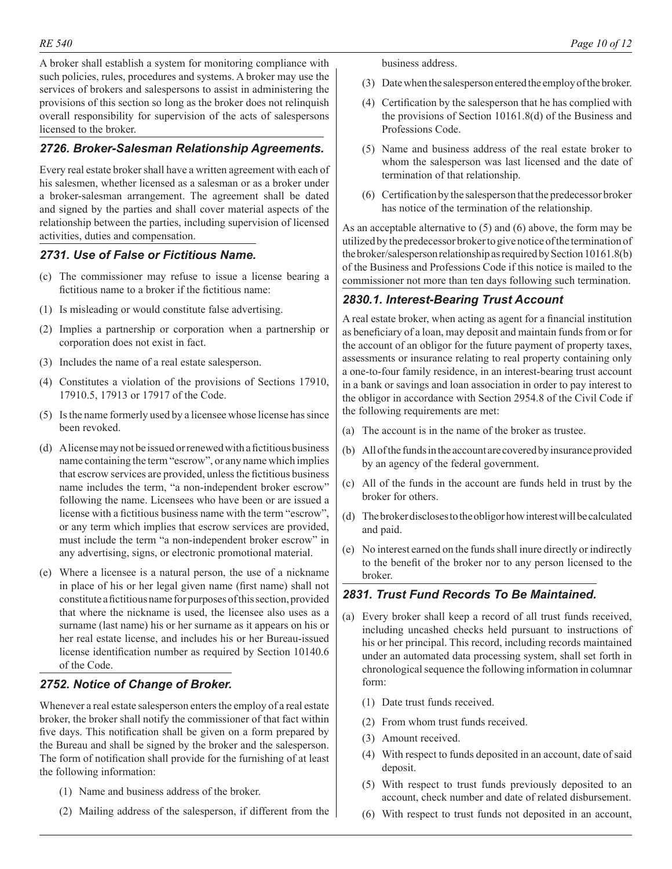A broker shall establish a system for monitoring compliance with such policies, rules, procedures and systems. A broker may use the services of brokers and salespersons to assist in administering the provisions of this section so long as the broker does not relinquish overall responsibility for supervision of the acts of salespersons licensed to the broker.

## *2726. Broker-Salesman Relationship Agreements.*

Every real estate broker shall have a written agreement with each of his salesmen, whether licensed as a salesman or as a broker under a broker-salesman arrangement. The agreement shall be dated and signed by the parties and shall cover material aspects of the relationship between the parties, including supervision of licensed activities, duties and compensation.

## *2731. Use of False or Fictitious Name.*

- (c) The commissioner may refuse to issue a license bearing a fictitious name to a broker if the fictitious name:
- (1) Is misleading or would constitute false advertising.
- (2) Implies a partnership or corporation when a partnership or corporation does not exist in fact.
- (3) Includes the name of a real estate salesperson.
- (4) Constitutes a violation of the provisions of Sections 17910, 17910.5, 17913 or 17917 of the Code.
- (5) Is the name formerly used by a licensee whose license has since been revoked.
- (d) A license may not be issued or renewed with a fictitious business name containing the term "escrow", or any name which implies that escrow services are provided, unless the fictitious business name includes the term, "a non-independent broker escrow" following the name. Licensees who have been or are issued a license with a fictitious business name with the term "escrow", or any term which implies that escrow services are provided, must include the term "a non-independent broker escrow" in any advertising, signs, or electronic promotional material.
- (e) Where a licensee is a natural person, the use of a nickname in place of his or her legal given name (first name) shall not constitute a fictitious name for purposes of this section, provided that where the nickname is used, the licensee also uses as a surname (last name) his or her surname as it appears on his or her real estate license, and includes his or her Bureau-issued license identification number as required by Section 10140.6 of the Code.

# *2752. Notice of Change of Broker.*

Whenever a real estate salesperson enters the employ of a real estate broker, the broker shall notify the commissioner of that fact within five days. This notification shall be given on a form prepared by the Bureau and shall be signed by the broker and the salesperson. The form of notification shall provide for the furnishing of at least the following information:

- (1) Name and business address of the broker.
- (2) Mailing address of the salesperson, if different from the

business address.

- (3) Date when the salesperson entered the employ of the broker.
- (4) Certification by the salesperson that he has complied with the provisions of Section 10161.8(d) of the Business and Professions Code.
- (5) Name and business address of the real estate broker to whom the salesperson was last licensed and the date of termination of that relationship.
- (6) Certification by the salesperson that the predecessor broker has notice of the termination of the relationship.

As an acceptable alternative to (5) and (6) above, the form may be utilized by the predecessor broker to give notice of the termination of the broker/salesperson relationship as required by Section 10161.8(b) of the Business and Professions Code if this notice is mailed to the commissioner not more than ten days following such termination.

# *2830.1. Interest-Bearing Trust Account*

A real estate broker, when acting as agent for a financial institution as beneficiary of a loan, may deposit and maintain funds from or for the account of an obligor for the future payment of property taxes, assessments or insurance relating to real property containing only a one-to-four family residence, in an interest-bearing trust account in a bank or savings and loan association in order to pay interest to the obligor in accordance with Section 2954.8 of the Civil Code if the following requirements are met:

- (a) The account is in the name of the broker as trustee.
- (b) All of the funds in the account are covered by insurance provided by an agency of the federal government.
- (c) All of the funds in the account are funds held in trust by the broker for others.
- (d) The broker discloses to the obligor how interest will be calculated and paid.
- (e) No interest earned on the funds shall inure directly or indirectly to the benefit of the broker nor to any person licensed to the broker.

# *2831. Trust Fund Records To Be Maintained.*

- (a) Every broker shall keep a record of all trust funds received, including uncashed checks held pursuant to instructions of his or her principal. This record, including records maintained under an automated data processing system, shall set forth in chronological sequence the following information in columnar form:
	- (1) Date trust funds received.
	- (2) From whom trust funds received.
	- (3) Amount received.
	- (4) With respect to funds deposited in an account, date of said deposit.
	- (5) With respect to trust funds previously deposited to an account, check number and date of related disbursement.
	- (6) With respect to trust funds not deposited in an account,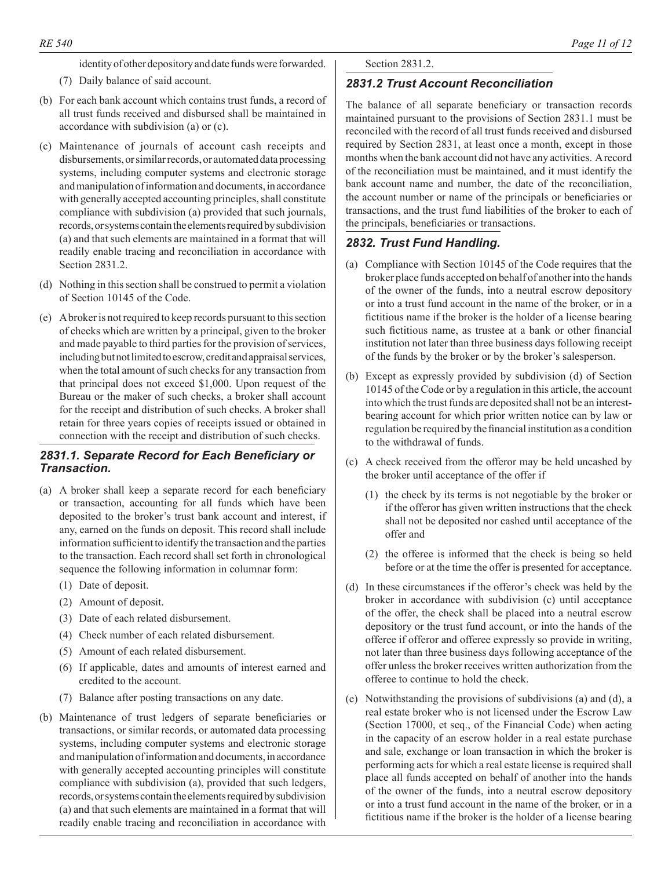identity of other depository and date funds were forwarded.

- (7) Daily balance of said account.
- (b) For each bank account which contains trust funds, a record of all trust funds received and disbursed shall be maintained in accordance with subdivision (a) or (c).
- (c) Maintenance of journals of account cash receipts and disbursements, or similar records, or automated data processing systems, including computer systems and electronic storage and manipulation of information and documents, in accordance with generally accepted accounting principles, shall constitute compliance with subdivision (a) provided that such journals, records, or systems contain the elements required by subdivision (a) and that such elements are maintained in a format that will readily enable tracing and reconciliation in accordance with Section 2831.2.
- (d) Nothing in this section shall be construed to permit a violation of Section 10145 of the Code.
- (e) A broker is not required to keep records pursuant to this section of checks which are written by a principal, given to the broker and made payable to third parties for the provision of services, including but not limited to escrow, credit and appraisal services, when the total amount of such checks for any transaction from that principal does not exceed \$1,000. Upon request of the Bureau or the maker of such checks, a broker shall account for the receipt and distribution of such checks. A broker shall retain for three years copies of receipts issued or obtained in connection with the receipt and distribution of such checks.

## *2831.1. Separate Record for Each Beneficiary or Transaction.*

- (a) A broker shall keep a separate record for each beneficiary or transaction, accounting for all funds which have been deposited to the broker's trust bank account and interest, if any, earned on the funds on deposit. This record shall include information sufficient to identify the transaction and the parties to the transaction. Each record shall set forth in chronological sequence the following information in columnar form:
	- (1) Date of deposit.
	- (2) Amount of deposit.
	- (3) Date of each related disbursement.
	- (4) Check number of each related disbursement.
	- (5) Amount of each related disbursement.
	- (6) If applicable, dates and amounts of interest earned and credited to the account.
	- (7) Balance after posting transactions on any date.
- (b) Maintenance of trust ledgers of separate beneficiaries or transactions, or similar records, or automated data processing systems, including computer systems and electronic storage and manipulation of information and documents, in accordance with generally accepted accounting principles will constitute compliance with subdivision (a), provided that such ledgers, records, or systems contain the elements required by subdivision (a) and that such elements are maintained in a format that will readily enable tracing and reconciliation in accordance with

#### Section 2831.2.

## *2831.2 Trust Account Reconciliation*

The balance of all separate beneficiary or transaction records maintained pursuant to the provisions of Section 2831.1 must be reconciled with the record of all trust funds received and disbursed required by Section 2831, at least once a month, except in those months when the bank account did not have any activities. A record of the reconciliation must be maintained, and it must identify the bank account name and number, the date of the reconciliation, the account number or name of the principals or beneficiaries or transactions, and the trust fund liabilities of the broker to each of the principals, beneficiaries or transactions.

#### *2832. Trust Fund Handling.*

- (a) Compliance with Section 10145 of the Code requires that the broker place funds accepted on behalf of another into the hands of the owner of the funds, into a neutral escrow depository or into a trust fund account in the name of the broker, or in a fictitious name if the broker is the holder of a license bearing such fictitious name, as trustee at a bank or other financial institution not later than three business days following receipt of the funds by the broker or by the broker's salesperson.
- (b) Except as expressly provided by subdivision (d) of Section 10145 of the Code or by a regulation in this article, the account into which the trust funds are deposited shall not be an interestbearing account for which prior written notice can by law or regulation be required by the financial institution as a condition to the withdrawal of funds.
- (c) A check received from the offeror may be held uncashed by the broker until acceptance of the offer if
	- (1) the check by its terms is not negotiable by the broker or if the offeror has given written instructions that the check shall not be deposited nor cashed until acceptance of the offer and
	- (2) the offeree is informed that the check is being so held before or at the time the offer is presented for acceptance.
- (d) In these circumstances if the offeror's check was held by the broker in accordance with subdivision (c) until acceptance of the offer, the check shall be placed into a neutral escrow depository or the trust fund account, or into the hands of the offeree if offeror and offeree expressly so provide in writing, not later than three business days following acceptance of the offer unless the broker receives written authorization from the offeree to continue to hold the check.
- (e) Notwithstanding the provisions of subdivisions (a) and (d), a real estate broker who is not licensed under the Escrow Law (Section 17000, et seq., of the Financial Code) when acting in the capacity of an escrow holder in a real estate purchase and sale, exchange or loan transaction in which the broker is performing acts for which a real estate license is required shall place all funds accepted on behalf of another into the hands of the owner of the funds, into a neutral escrow depository or into a trust fund account in the name of the broker, or in a fictitious name if the broker is the holder of a license bearing